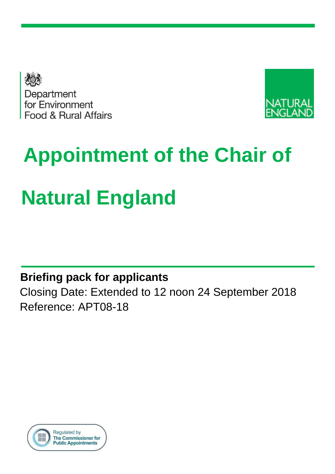



# **Appointment of the Chair of Natural England**

### **Briefing pack for applicants**

Closing Date: Extended to 12 noon 24 September 2018 Reference: APT08-18

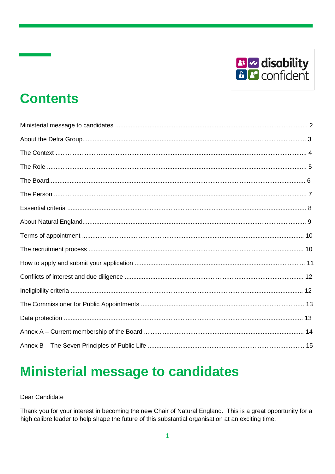

# **Contents**

# **Ministerial message to candidates**

#### Dear Candidate

Thank you for your interest in becoming the new Chair of Natural England. This is a great opportunity for a high calibre leader to help shape the future of this substantial organisation at an exciting time.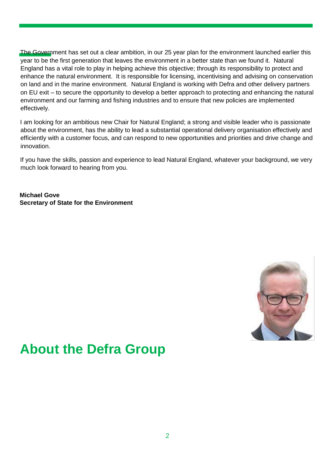The Government has set out a clear ambition, in our 25 year plan for the environment launched earlier this year to be the first generation that leaves the environment in a better state than we found it. Natural England has a vital role to play in helping achieve this objective; through its responsibility to protect and enhance the natural environment. It is responsible for licensing, incentivising and advising on conservation on land and in the marine environment. Natural England is working with Defra and other delivery partners on EU exit – to secure the opportunity to develop a better approach to protecting and enhancing the natural environment and our farming and fishing industries and to ensure that new policies are implemented effectively.

I am looking for an ambitious new Chair for Natural England; a strong and visible leader who is passionate about the environment, has the ability to lead a substantial operational delivery organisation effectively and efficiently with a customer focus, and can respond to new opportunities and priorities and drive change and innovation.

If you have the skills, passion and experience to lead Natural England, whatever your background, we very much look forward to hearing from you.

**Michael Gove Secretary of State for the Environment** 



# **About the Defra Group**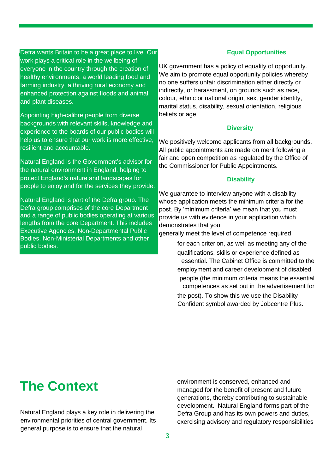Defra wants Britain to be a great place to live. Our work plays a critical role in the wellbeing of everyone in the country through the creation of healthy environments, a world leading food and farming industry, a thriving rural economy and enhanced protection against floods and animal and plant diseases.

Appointing high-calibre people from diverse backgrounds with relevant skills, knowledge and experience to the boards of our public bodies will help us to ensure that our work is more effective. resilient and accountable.

Natural England is the Government's advisor for the natural environment in England, helping to protect England's nature and landscapes for people to enjoy and for the services they provide.

Natural England is part of the Defra group. The Defra group comprises of the core Department and a range of public bodies operating at various lengths from the core Department. This includes Executive Agencies, Non-Departmental Public Bodies, Non-Ministerial Departments and other public bodies.

#### **Equal Opportunities**

UK government has a policy of equality of opportunity. We aim to promote equal opportunity policies whereby no one suffers unfair discrimination either directly or indirectly, or harassment, on grounds such as race, colour, ethnic or national origin, sex, gender identity, marital status, disability, sexual orientation, religious beliefs or age.

#### **Diversity**

We positively welcome applicants from all backgrounds. All public appointments are made on merit following a fair and open competition as regulated by the Office of the Commissioner for Public Appointments.

#### **Disability**

We guarantee to interview anyone with a disability whose application meets the minimum criteria for the post. By 'minimum criteria' we mean that you must provide us with evidence in your application which demonstrates that you

generally meet the level of competence required

for each criterion, as well as meeting any of the qualifications, skills or experience defined as essential. The Cabinet Office is committed to the employment and career development of disabled people (the minimum criteria means the essential competences as set out in the advertisement for

the post). To show this we use the Disability Confident symbol awarded by Jobcentre Plus.

### **The Context**

Natural England plays a key role in delivering the environmental priorities of central government. Its general purpose is to ensure that the natural

environment is conserved, enhanced and managed for the benefit of present and future generations, thereby contributing to sustainable development. Natural England forms part of the Defra Group and has its own powers and duties, exercising advisory and regulatory responsibilities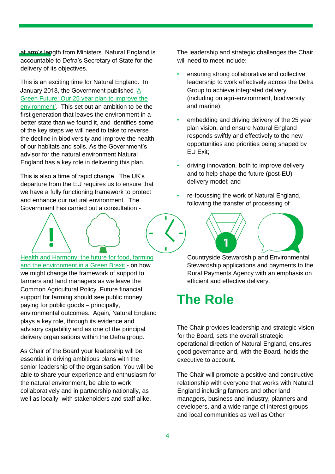at arm's length from Ministers. Natural England is accountable to Defra's Secretary of State for the delivery of its objectives.

This is an exciting time for Natural England. In January 2018, the Government published ['A](https://www.gov.uk/government/publications/25-year-environment-plan) [Green Future: Our 25 year plan to improve the](https://www.gov.uk/government/publications/25-year-environment-plan) [environment'.](https://www.gov.uk/government/publications/25-year-environment-plan) This set out an ambition to be the first generation that leaves the environment in a better state than we found it, and identifies some of the key steps we will need to take to reverse the decline in biodiversity and improve the health of our habitats and soils. As the Government's advisor for the natural environment Natural England has a key role in delivering this plan.

This is also a time of rapid change. The UK's departure from the EU requires us to ensure that we have a fully functioning framework to protect and enhance our natural environment. The Government has carried out a consultation -

The leadership and strategic challenges the Chair will need to meet include:

- ensuring strong collaborative and collective leadership to work effectively across the Defra Group to achieve integrated delivery (including on agri-environment, biodiversity and marine);
- embedding and driving delivery of the 25 year plan vision, and ensure Natural England responds swiftly and effectively to the new opportunities and priorities being shaped by EU Exit;
- driving innovation, both to improve delivery and to help shape the future (post-EU) delivery model; and
- re-focussing the work of Natural England, following the transfer of processing of

1



As Chair of the Board your leadership will be essential in driving ambitious plans with the senior leadership of the organisation. You will be able to share your experience and enthusiasm for the natural environment, be able to work collaboratively and in partnership nationally, as well as locally, with stakeholders and staff alike.

Countryside Stewardship and Environmental Stewardship applications and payments to the Rural Payments Agency with an emphasis on efficient and effective delivery.

### **The Role**

The Chair provides leadership and strategic vision for the Board, sets the overall strategic operational direction of Natural England, ensures good governance and, with the Board, holds the executive to account.

The Chair will promote a positive and constructive relationship with everyone that works with Natural England including farmers and other land managers, business and industry, planners and developers, and a wide range of interest groups and local communities as well as Other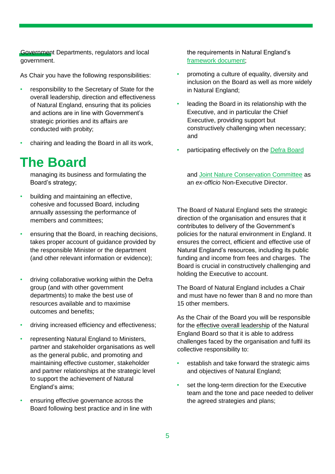Government Departments, regulators and local government.

As Chair you have the following responsibilities:

- responsibility to the Secretary of State for the overall leadership, direction and effectiveness of Natural England, ensuring that its policies and actions are in line with Government's strategic priorities and its affairs are conducted with probity;
- chairing and leading the Board in all its work,

### **The Board**

managing its business and formulating the Board's strategy;

- building and maintaining an effective, cohesive and focussed Board, including annually assessing the performance of members and committees;
- ensuring that the Board, in reaching decisions, takes proper account of guidance provided by the responsible Minister or the department (and other relevant information or evidence);
- driving collaborative working within the Defra group (and with other government departments) to make the best use of resources available and to maximise outcomes and benefits;
- driving increased efficiency and effectiveness;
- representing Natural England to Ministers, partner and stakeholder organisations as well as the general public, and promoting and maintaining effective customer, stakeholder and partner relationships at the strategic level to support the achievement of Natural England's aims;
- ensuring effective governance across the Board following best practice and in line with

the requirements in Natural England's [framework document;](https://www.gov.uk/government/publications/natural-england-framework-document) 

- promoting a culture of equality, diversity and inclusion on the Board as well as more widely in Natural England;
- leading the Board in its relationship with the Executive, and in particular the Chief Executive, providing support but constructively challenging when necessary; and
- participating effectively on the [Defra Board](https://www.gov.uk/government/organisations/department-for-environment-food-rural-affairs/about/our-governance)

and [Joint Nature Conservation Committee](http://jncc.defra.gov.uk/) as an *ex-officio* Non-Executive Director.

The Board of Natural England sets the strategic direction of the organisation and ensures that it contributes to delivery of the Government's policies for the natural environment in England. It ensures the correct, efficient and effective use of Natural England's resources, including its public funding and income from fees and charges. The Board is crucial in constructively challenging and holding the Executive to account.

The Board of Natural England includes a Chair and must have no fewer than 8 and no more than 15 other members.

As the Chair of the Board you will be responsible for the effective overall leadership of the Natural England Board so that it is able to address challenges faced by the organisation and fulfil its collective responsibility to:

- establish and take forward the strategic aims and objectives of Natural England;
- set the long-term direction for the Executive team and the tone and pace needed to deliver the agreed strategies and plans;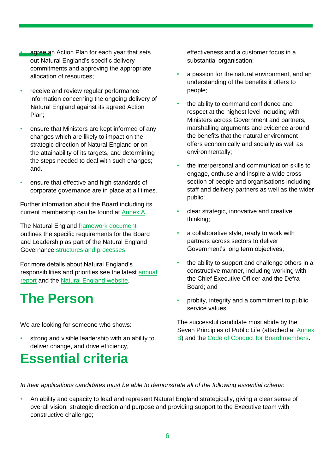- agree an Action Plan for each year that sets out Natural England's specific delivery commitments and approving the appropriate allocation of resources;
- receive and review regular performance information concerning the ongoing delivery of Natural England against its agreed Action Plan;
- ensure that Ministers are kept informed of any changes which are likely to impact on the strategic direction of Natural England or on the attainability of its targets, and determining the steps needed to deal with such changes; and.
- ensure that effective and high standards of corporate governance are in place at all times.

Further information about the Board including its current membership can be found at Annex A.

The Natural England [framework documen](https://www.gov.uk/government/publications/natural-england-framework-document)[t](https://www.gov.uk/government/uploads/system/uploads/attachment_data/file/641891/natural-england-framework-document.pdf) outlines the specific requirements for the Board and Leadership as part of the Natural England Governance [structures and processes.](https://www.gov.uk/government/organisations/natural-england/about/our-governance)

For more details about Natural England's responsibilities and priorities see the latest [annual](https://www.gov.uk/government/collections/natural-england-annual-reports-and-accounts) [report](https://www.gov.uk/government/collections/natural-england-annual-reports-and-accounts) and th[e](https://www.gov.uk/government/organisations/natural-england) [Natural England website.](https://www.gov.uk/government/organisations/natural-england)

## **The Person**

We are looking for someone who shows:

• strong and visible leadership with an ability to deliver change, and drive efficiency,

# **Essential criteria**

effectiveness and a customer focus in a substantial organisation:

- a passion for the natural environment, and an understanding of the benefits it offers to people;
- the ability to command confidence and respect at the highest level including with Ministers across Government and partners, marshalling arguments and evidence around the benefits that the natural environment offers economically and socially as well as environmentally;
- the interpersonal and communication skills to engage, enthuse and inspire a wide cross section of people and organisations including staff and delivery partners as well as the wider public;
- clear strategic, innovative and creative thinking;
- a collaborative style, ready to work with partners across sectors to deliver Government's long term objectives;
- the ability to support and challenge others in a constructive manner, including working with the Chief Executive Officer and the Defra Board; and
- probity, integrity and a commitment to public service values.

The successful candidate must abide by the Seven Principles of Public Life (attached at Annex B) and the [Code of Conduct for Board members.](https://www.gov.uk/government/publications/board-members-of-public-bodies-code-of-conduct)

*In their applications candidates must be able to demonstrate all of the following essential criteria:* 

• An ability and capacity to lead and represent Natural England strategically, giving a clear sense of overall vision, strategic direction and purpose and providing support to the Executive team with constructive challenge;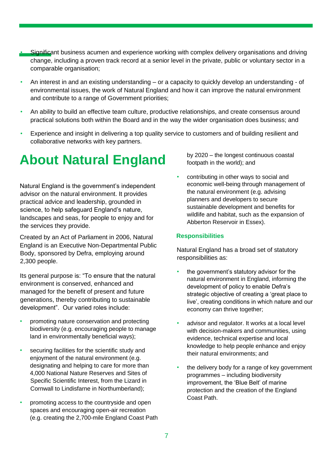- Significant business acumen and experience working with complex delivery organisations and driving change, including a proven track record at a senior level in the private, public or voluntary sector in a comparable organisation;
- An interest in and an existing understanding or a capacity to quickly develop an understanding of environmental issues, the work of Natural England and how it can improve the natural environment and contribute to a range of Government priorities;
- An ability to build an effective team culture, productive relationships, and create consensus around practical solutions both within the Board and in the way the wider organisation does business; and
- Experience and insight in delivering a top quality service to customers and of building resilient and collaborative networks with key partners.

# **About Natural England**

Natural England is the government's independent advisor on the natural environment. It provides practical advice and leadership, grounded in science, to help safeguard England's nature, landscapes and seas, for people to enjoy and for the services they provide.

Created by an Act of Parliament in 2006, Natural England is an Executive Non-Departmental Public Body, sponsored by Defra, employing around 2,300 people.

Its general purpose is: "To ensure that the natural environment is conserved, enhanced and managed for the benefit of present and future generations, thereby contributing to sustainable development". Our varied roles include:

- promoting nature conservation and protecting biodiversity (e.g. encouraging people to manage land in environmentally beneficial ways);
- securing facilities for the scientific study and enjoyment of the natural environment (e.g. designating and helping to care for more than 4,000 National Nature Reserves and Sites of Specific Scientific Interest, from the Lizard in Cornwall to Lindisfarne in Northumberland);
- promoting access to the countryside and open spaces and encouraging open-air recreation (e.g. creating the 2,700-mile England Coast Path

by 2020 – the longest continuous coastal footpath in the world); and

• contributing in other ways to social and economic well-being through management of the natural environment (e.g. advising planners and developers to secure sustainable development and benefits for wildlife and habitat, such as the expansion of Abberton Reservoir in Essex).

#### **Responsibilities**

Natural England has a broad set of statutory responsibilities as:

- the government's statutory advisor for the natural environment in England, informing the development of policy to enable Defra's strategic objective of creating a 'great place to live', creating conditions in which nature and our economy can thrive together;
- advisor and regulator. It works at a local level with decision-makers and communities, using evidence, technical expertise and local knowledge to help people enhance and enjoy their natural environments; and
- the delivery body for a range of key government programmes – including biodiversity improvement, the 'Blue Belt' of marine protection and the creation of the England Coast Path.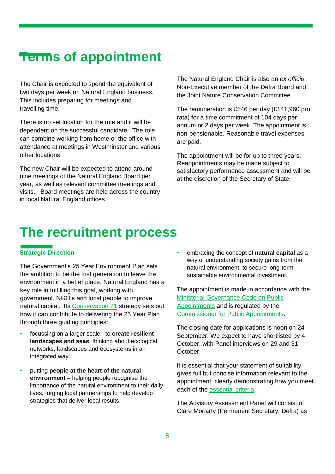### **Terms of appointment**

The Chair is expected to spend the equivalent of two days per week on Natural England business. This includes preparing for meetings and travelling time.

There is no set location for the role and it will be dependent on the successful candidate. The role can combine working from home or the office with attendance at meetings in Westminster and various other locations.

The new Chair will be expected to attend around nine meetings of the Natural England Board per year, as well as relevant committee meetings and visits. Board meetings are held across the country in local Natural England offices.

The Natural England Chair is also an *ex officio* Non-Executive member of the Defra Board and the Joint Nature Conservation Committee.

The remuneration is £546 per day (£141,960 pro rata) for a time commitment of 104 days per annum or 2 days per week. The appointment is non-pensionable. Reasonable travel expenses are paid.

The appointment will be for up to three years. Reappointments may be made subject to satisfactory performance assessment and will be at the discretion of the Secretary of State.

### **The recruitment process**

#### **Strategic Direction**

The Government's 25 Year Environment Plan sets the ambition to be the first generation to leave the environment in a better place. Natural England has a key role in fulfilling this goal, working with government, NGO's and local people to improve natural capital. Its [Conservation 21](https://www.gov.uk/government/publications/conservation-21-natural-englands-conservation-strategy-for-the-21st-century) strategy sets out how it can contribute to delivering the 25 Year Plan through three guiding principles:

- focussing on a larger scale to **create resilient landscapes and seas**, thinking about ecological networks, landscapes and ecosystems in an integrated way.
- putting **people at the heart of the natural environment –** helping people recognise the importance of the natural environment to their daily lives, forging local partnerships to help develop strategies that deliver local results.

• embracing the concept of **natural capital** as a way of understanding society gains from the natural environment, to secure long-term sustainable environmental investment.

The appointment is made in accordance with the [Ministerial Governance Code on Public](https://assets.publishing.service.gov.uk/government/uploads/system/uploads/attachment_data/file/578498/governance_code_on_public_appointments_16_12_2016.pdf) [Appointments](https://assets.publishing.service.gov.uk/government/uploads/system/uploads/attachment_data/file/578498/governance_code_on_public_appointments_16_12_2016.pdf) and is regulated by the Commissioner for Public Appointments.

The closing date for applications is noon on 24 September. We expect to have shortlisted by 4 October, with Panel interviews on 29 and 31 October.

It is essential that your statement of suitability gives full but concise information relevant to the appointment, clearly demonstrating how you meet each of the essential criteria.

The Advisory Assessment Panel will consist of Clare Moriarty (Permanent Secretary, Defra) as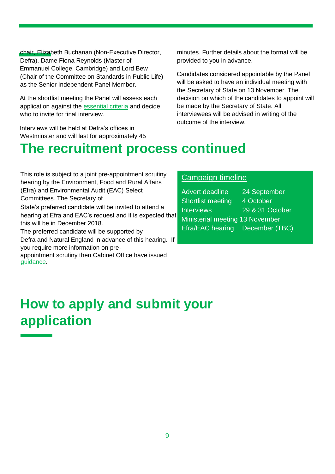chair, Elizabeth Buchanan (Non-Executive Director, Defra), Dame Fiona Reynolds (Master of Emmanuel College, Cambridge) and Lord Bew (Chair of the Committee on Standards in Public Life) as the Senior Independent Panel Member.

At the shortlist meeting the Panel will assess each application against the essential criteria and decide who to invite for final interview.

Interviews will be held at Defra's offices in Westminster and will last for approximately 45 minutes. Further details about the format will be provided to you in advance.

Candidates considered appointable by the Panel will be asked to have an individual meeting with the Secretary of State on 13 November. The decision on which of the candidates to appoint will be made by the Secretary of State. All interviewees will be advised in writing of the outcome of the interview.

## **The recruitment process continued**

This role is subject to a joint pre-appointment scrutiny hearing by the Environment, Food and Rural Affairs (Efra) and Environmental Audit (EAC) Select Committees. The Secretary of

State's preferred candidate will be invited to attend a hearing at Efra and EAC's request and it is expected that this will be in December 2018.

The preferred candidate will be supported by

Defra and Natural England in advance of this hearing. If you require more information on pre-

appointment scrutiny then Cabinet Office have issued [guidance.](https://assets.publishing.service.gov.uk/government/uploads/system/uploads/attachment_data/file/259686/Guidance_publication.pdf) 

#### Campaign timeline

| <b>Advert deadline</b>          | 24 September    |
|---------------------------------|-----------------|
| <b>Shortlist meeting</b>        | 4 October       |
| <b>Interviews</b>               | 29 & 31 October |
| Ministerial meeting 13 November |                 |
| Efra/EAC hearing                | December (TBC)  |

# **How to apply and submit your application**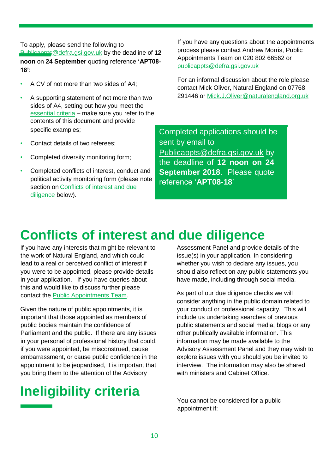To apply, please send the following to Publicappts@defra.gsi.gov.uk by the deadline of **12 noon** on **24 September** quoting reference **'APT08- 18'**:

- A CV of not more than two sides of A4;
- specific examples; • A supporting statement of not more than two sides of A4, setting out how you meet the essential criteria – make sure you refer to the contents of this document and provide
- Contact details of two referees;
- Completed diversity monitoring form;
- Completed conflicts of interest, conduct and political activity monitoring form (please note section on Conflicts of interest and due diligence below).

If you have any questions about the appointments process please contact Andrew Morris, Public Appointments Team on 020 802 66562 or publicappts@defra.gsi.gov.uk

For an informal discussion about the role please contact Mick Oliver, Natural England on 07768 291446 or Mick.J.Oliver@naturalengland.org.uk

Completed applications should be sent by email to Publicappts@defra.gsi.gov.uk by the deadline of **12 noon on 24 September 2018**. Please quote reference '**APT08-18**'

### **Conflicts of interest and due diligence**

If you have any interests that might be relevant to the work of Natural England, and which could lead to a real or perceived conflict of interest if you were to be appointed, please provide details in your application. If you have queries about this and would like to discuss further please contact the Public Appointments Team.

Given the nature of public appointments, it is important that those appointed as members of public bodies maintain the confidence of Parliament and the public. If there are any issues in your personal of professional history that could, if you were appointed, be misconstrued, cause embarrassment, or cause public confidence in the appointment to be jeopardised, it is important that you bring them to the attention of the Advisory

# **Ineligibility criteria**

Assessment Panel and provide details of the issue(s) in your application. In considering whether you wish to declare any issues, you should also reflect on any public statements you have made, including through social media.

As part of our due diligence checks we will consider anything in the public domain related to your conduct or professional capacity. This will include us undertaking searches of previous public statements and social media, blogs or any other publically available information. This information may be made available to the Advisory Assessment Panel and they may wish to explore issues with you should you be invited to interview. The information may also be shared with ministers and Cabinet Office.

You cannot be considered for a public appointment if: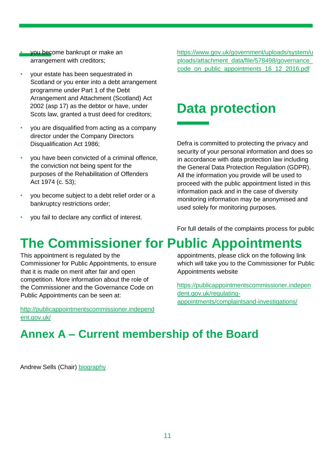- you become bankrupt or make an arrangement with creditors;
- your estate has been sequestrated in Scotland or you enter into a debt arrangement programme under Part 1 of the Debt Arrangement and Attachment (Scotland) Act 2002 (asp 17) as the debtor or have, under Scots law, granted a trust deed for creditors;
- you are disqualified from acting as a company director under the Company Directors Disqualification Act 1986;
- you have been convicted of a criminal offence, the conviction not being spent for the purposes of the Rehabilitation of Offenders Act 1974 (c. 53);
- you become subject to a debt relief order or a bankruptcy restrictions order;
- you fail to declare any conflict of interest.

[https://www.gov.uk/government/uploads/system/u](https://www.gov.uk/government/uploads/system/uploads/attachment_data/file/578498/governance_code_on_public_appointments_16_12_2016.pdf)  [ploads/attachment\\_data/file/578498/governance\\_](https://www.gov.uk/government/uploads/system/uploads/attachment_data/file/578498/governance_code_on_public_appointments_16_12_2016.pdf)  code\_on\_public\_appointments\_16\_12\_2016.pdf

### **Data protection**

Defra is committed to protecting the privacy and security of your personal information and does so in accordance with data protection law including the General Data Protection Regulation (GDPR). All the information you provide will be used to proceed with the public appointment listed in this information pack and in the case of diversity monitoring information may be anonymised and used solely for monitoring purposes.

For full details of the complaints process for public

# **The Commissioner for Public Appointments**

This appointment is regulated by the Commissioner for Public Appointments, to ensure that it is made on merit after fair and open competition. More information about the role of the Commissioner and the Governance Code on Public Appointments can be seen at:

[http://publicappointmentscommissioner.independ](http://publicappointmentscommissioner.independent.gov.uk/)  [ent.gov.uk/](http://publicappointmentscommissioner.independent.gov.uk/) 

appointments, please click on the following link which will take you to the Commissioner for Public Appointments website

[https://publicappointmentscommissioner.indepen](https://publicappointmentscommissioner.independent.gov.uk/regulating-appointments/complaints-and-investigations/)  [dent.gov.uk/regulating](https://publicappointmentscommissioner.independent.gov.uk/regulating-appointments/complaints-and-investigations/)[appointments/complaintsand-investigations/](https://publicappointmentscommissioner.independent.gov.uk/regulating-appointments/complaints-and-investigations/)

### **Annex A – Current membership of the Board**

Andrew Sells (Chair[\)](https://www.gov.uk/government/people/andrew-sells) [biography](https://www.gov.uk/government/people/andrew-sells)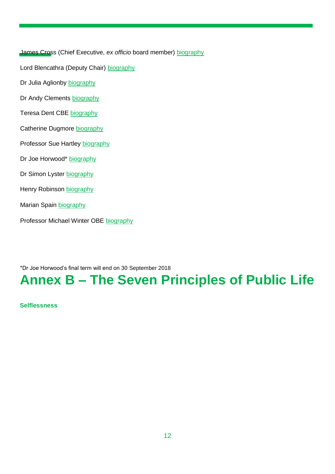James Cross (Chief Executive, *ex officio* board member) [biography](https://www.gov.uk/government/people/james-cross) 

Lord Blencathra (Deputy Chair[\)](https://www.gov.uk/government/people/lord-blencathra) [biography](https://www.gov.uk/government/people/lord-blencathra)

Dr Julia Aglionby [biography](https://www.gov.uk/government/people/julia-aglionby)

Dr Andy Clements [biography](https://www.gov.uk/government/people/andy-clements)

Teresa Dent CB[E](https://www.gov.uk/government/people/teresa-dent) [biography](https://www.gov.uk/government/people/teresa-dent)

Catherine Dugmore [biography](https://www.gov.uk/government/people/catherine-dugmore)

Professor Sue Hartley [biography](https://www.gov.uk/government/people/sue-hartley)

Dr Joe Horwoo[d\\*](https://www.gov.uk/government/people/joe-horwood) [biography](https://www.gov.uk/government/people/joe-horwood)

- D[r](https://www.gov.uk/government/people/simon-lyster) Simon Lyster [biography](https://www.gov.uk/government/people/simon-lyster)
- Henry Robinson [biography](https://www.gov.uk/government/people/henry-robinson)
- Marian Spain [biography](https://www.gov.uk/government/people/marian-spain)
- Professor Michael Winter OB[E](https://www.gov.uk/government/people/michael-winter) [biography](https://www.gov.uk/government/people/michael-winter)

\*Dr Joe Horwood's final term will end on 30 September 2018

### **Annex B – The Seven Principles of Public Life**

**Selflessness**